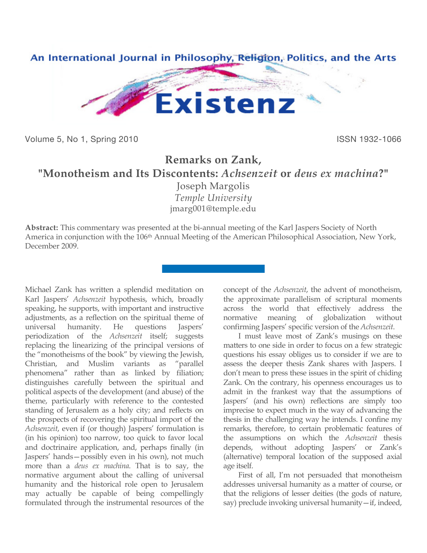

Volume 5, No 1, Spring 2010 **ISSN 1932-1066** 

## **Remarks on Zank, "Monotheism and Its Discontents:** *Achsenzeit* **or** *deus ex machina***?"** Joseph Margolis

*Temple University* [jmarg001@temple.edu](mailto:jmarg001@temple.edu)

**Abstract:** This commentary was presented at the bi-annual meeting of the Karl Jaspers Society of North America in conjunction with the 106th Annual Meeting of the American Philosophical Association, New York, December 2009.

Michael Zank has written a splendid meditation on Karl Jaspers' *Achsenzeit* hypothesis, which, broadly speaking, he supports, with important and instructive adjustments, as a reflection on the spiritual theme of universal humanity. He questions Jaspers' periodization of the *Achsenzeit* itself; suggests replacing the linearizing of the principal versions of the "monotheisms of the book" by viewing the Jewish, Christian, and Muslim variants as "parallel phenomena" rather than as linked by filiation; distinguishes carefully between the spiritual and political aspects of the development (and abuse) of the theme, particularly with reference to the contested standing of Jerusalem as a holy city; and reflects on the prospects of recovering the spiritual import of the *Achsenzeit*, even if (or though) Jaspers' formulation is (in his opinion) too narrow, too quick to favor local and doctrinaire application, and, perhaps finally (in Jaspers' hands—possibly even in his own), not much more than a *deus ex machina*. That is to say, the normative argument about the calling of universal humanity and the historical role open to Jerusalem may actually be capable of being compellingly formulated through the instrumental resources of the concept of the *Achsenzeit*, the advent of monotheism, the approximate parallelism of scriptural moments across the world that effectively address the normative meaning of globalization without confirming Jaspers' specific version of the *Achsenzeit*.

I must leave most of Zank's musings on these matters to one side in order to focus on a few strategic questions his essay obliges us to consider if we are to assess the deeper thesis Zank shares with Jaspers. I don't mean to press these issues in the spirit of chiding Zank. On the contrary, his openness encourages us to admit in the frankest way that the assumptions of Jaspers' (and his own) reflections are simply too imprecise to expect much in the way of advancing the thesis in the challenging way he intends. I confine my remarks, therefore, to certain problematic features of the assumptions on which the *Achsenzeit* thesis depends, without adopting Jaspers' or Zank's (alternative) temporal location of the supposed axial age itself.

First of all, I'm not persuaded that monotheism addresses universal humanity as a matter of course, or that the religions of lesser deities (the gods of nature, say) preclude invoking universal humanity—if, indeed,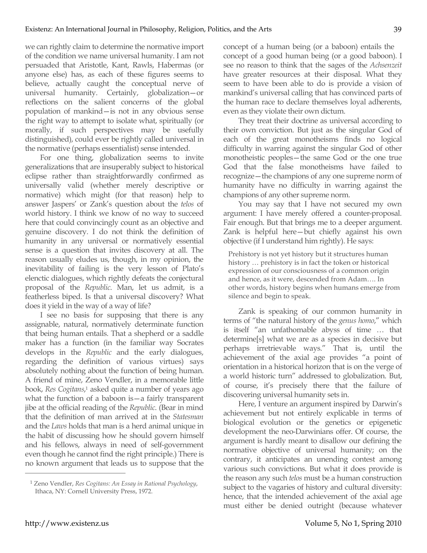we can rightly claim to determine the normative import of the condition we name universal humanity. I am not persuaded that Aristotle, Kant, Rawls, Habermas (or anyone else) has, as each of these figures seems to believe, actually caught the conceptual nerve of universal humanity. Certainly, globalization—or reflections on the salient concerns of the global population of mankind—is not in any obvious sense the right way to attempt to isolate what, spiritually (or morally, if such perspectives may be usefully distinguished), could ever be rightly called universal in the normative (perhaps essentialist) sense intended.

For one thing, globalization seems to invite generalizations that are insuperably subject to historical eclipse rather than straightforwardly confirmed as universally valid (whether merely descriptive or normative) which might (for that reason) help to answer Jaspers' or Zank's question about the *telos* of world history. I think we know of no way to succeed here that could convincingly count as an objective and genuine discovery. I do not think the definition of humanity in any universal or normatively essential sense is a question that invites discovery at all. The reason usually eludes us, though, in my opinion, the inevitability of failing is the very lesson of Plato's elenctic dialogues, which rightly defeats the conjectural proposal of the *Republic*. Man, let us admit, is a featherless biped. Is that a universal discovery? What does it yield in the way of a way of life?

I see no basis for supposing that there is any assignable, natural, normatively determinate function that being human entails. That a shepherd or a saddle maker has a function (in the familiar way Socrates develops in the *Republic* and the early dialogues, regarding the definition of various virtues) says absolutely nothing about the function of being human. A friend of mine, Zeno Vendler, in a memorable little book, *Res Cogitans*, 1 asked quite a number of years ago what the function of a baboon is—a fairly transparent jibe at the official reading of the *Republic*. (Bear in mind that the definition of man arrived at in the *Statesman* and the *Laws* holds that man is a herd animal unique in the habit of discussing how he should govern himself and his fellows, always in need of self-government even though he cannot find the right principle.) There is no known argument that leads us to suppose that the concept of a human being (or a baboon) entails the concept of a good human being (or a good baboon). I see no reason to think that the sages of the *Achsenzeit* have greater resources at their disposal. What they seem to have been able to do is provide a vision of mankind's universal calling that has convinced parts of the human race to declare themselves loyal adherents, even as they violate their own dictum.

They treat their doctrine as universal according to their own conviction. But just as the singular God of each of the great monotheisms finds no logical difficulty in warring against the singular God of other monotheistic peoples—the same God or the one true God that the false monotheisms have failed to recognize—the champions of any one supreme norm of humanity have no difficulty in warring against the champions of any other supreme norm.

You may say that I have not secured my own argument: I have merely offered a counter-proposal. Fair enough. But that brings me to a deeper argument. Zank is helpful here—but chiefly against his own objective (if I understand him rightly). He says:

Prehistory is not yet history but it structures human history … prehistory is in fact the token or historical expression of our consciousness of a common origin and hence, as it were, descended from Adam…. In other words, history begins when humans emerge from silence and begin to speak.

Zank is speaking of our common humanity in terms of "the natural history of the *genus homo*," which is itself "an unfathomable abyss of time … that determine[s] what we are as a species in decisive but perhaps irretrievable ways." That is, until the achievement of the axial age provides "a point of orientation in a historical horizon that is on the verge of a world historic turn" addressed to globalization. But, of course, it's precisely there that the failure of discovering universal humanity sets in.

Here, I venture an argument inspired by Darwin's achievement but not entirely explicable in terms of biological evolution or the genetics or epigenetic development the neo-Darwinians offer. Of course, the argument is hardly meant to disallow our defining the normative objective of universal humanity; on the contrary, it anticipates an unending contest among various such convictions. But what it does provide is the reason any such *telos* must be a human construction subject to the vagaries of history and cultural diversity: hence, that the intended achievement of the axial age must either be denied outright (because whatever

 $\overline{a}$ 

<sup>1</sup> Zeno Vendler, *Res Cogitans: An Essay in Rational Psychology*, Ithaca, NY: Cornell University Press, 1972.